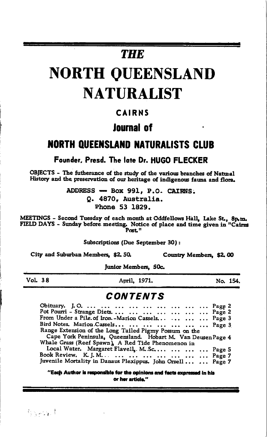# **THE**

# **NORTH QUEENSLAND NATURALIST**

### **CAIRNS**

### **Inurnal of**

### **NORTH OUEENSLAND NATURALISTS CLUB**

Founder. Presd. The late Dr. HUGO FLECKER

OBJECTS - The futherance of the study of the various branches of Natural History and the preservation of our heritage of indigenous fauna and flora.

> ADDRESS - Box 991, P.O. CAIRNS. O. 4870. Australia. Phone 53 1829.

MEETINGS - Second Tuesday of each month at Oddfellows Hall, Lake St., 8p.m.<br>FIELD DAYS - Sunday before meeting. Notice of place and time given in "Cairns"<br>Post."

Subscriptions (Due September 30):

City and Suburban Members. \$2, 50.

Country Members, \$2,00

Junior Members. 50c.

 $Vol. 38$ 

April, 1971.

No. 154.

### **CONTENTS**

| From Under a Pile. of Iron - Marion Cassels    Page 3        |  |
|--------------------------------------------------------------|--|
| Bird Notes. Marion Cassels       Page 3                      |  |
| Range Extension of the Long Tailed Pigmy Possum on the       |  |
| Cape York Peninsula, Queensland. Hobart M. Van Deusen Page 4 |  |
| Whale Grass (Reef Spawn), A Red Tide Phenomenon in           |  |
| Local Water. Margaret Flavell, M.Sc    Page 5                |  |
|                                                              |  |
| Juvenile Mortality in Danaus Plexippus. John Orrell   Page 7 |  |
|                                                              |  |

"Each Author is responsible for the opinions and facts expressed in his or her article."

Grant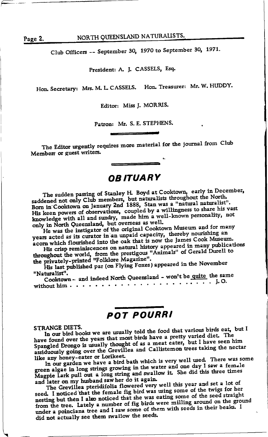Page 2.

NORTH QUEENSLAND NATURALISTS.

Club Officers -- September 30, 1970 to September 30, 1971.

President: A. J. CASSELS, Esq.

Hon. Secretary: Mrs. M. L. CASSELS. Hon. Treasurer: Mr. W. HUDDY.

Editor: Miss J. MORRIS.

Patron: Mr. S. E. STEPHENS.

The Editor urgently requires more material for the journal from Club Members or guest writers.

## **OB ITUARY**

The sudden passing of Stanley H. Boyd at Cooktown, early in December, saddened not only Club members, but naturalists throughout the North.<br>Born in Cooktown on January 2nd 1888, Stan was a "natural naturalist". His keen powers of observations, coupled by a willingness to share his vast knowledge with all and sundry, made him a well-known personality, not only in North Queensland, but overseas as well.

He was the instigator of the original Cooktown Museum and for many years acted as its curator in an unpaid capacity, thereby nourishing an acorn which flourished into the oak that is now the James Cook Museum.

His crisp reminiscences on natural history appeared in many publications throughout the world, from the prestigous "Animals" of Gerald Durell to the privately-printed "Folklore Magazine".

His last published par (on Flying Foxes) appeared in the November "Naturalist".

Cooktown - and indeed North Queensland - won't be quite the same 

### **POT POURRI**

#### STRANGE DIETS.

In our bird books we are usually told the food that various birds eat, but I have found over the years that most birds have a pretty varied diet. The Spangled Drongo is usually thought of as a meat eater, but I have seen him assiduously going over the Grevillea and Callistemon trees taking the nectar like any honey-eater or Lorikeet.

In our garden we have a bird bath which is very well used. There was some green algae in long strings growing in the water and one day I saw a female Magpie Lark pull out a long string and swallow it. She did this three times and later on my husband saw her do it again.

The Grevillea pteridifolia flowered very well this year and set a lot of seed. I noticed that the female fig bird was using some of the twigs for her nesting but then I also noticed that she was eating some of the seed straight from the tree. Lately a number of fig birds were milling around on the ground under a poinciana tree and I saw some of them with seeds in their beaks. I did not actually see them swallow the seeds.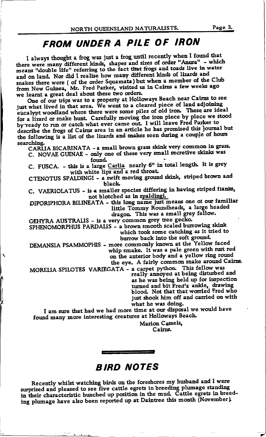# FROM UNDER A PILE OF IRON

I always thought a frog was just a frog until recently when I found that there were many different kinds, shapes and sizes of order "Anura" - which<br>means "double life" referring to the fact that frogs and toads live in water and on land. Nor did I realise how many different kinds of lizards and snakes there were ( of the order Squamata) but when a member of the Club from New Guinea, Mr. Fred Parker, visited us in Cairns a few weeks ago we learnt a great deal about these two orders.

One of our trips was to a property at Holloways Beach near Cairns to see<br>just what lived in that area. We went to a cleared piece of land adjoining eucalypt woodland where there were some piles of old iron. These are ideal for a lizard or snake hunt. Carefully moving the iron piece by piece we stood by ready to run or catch what ever came out. I will leave Fred Parker to describe the frogs of Cairns area in an article he has promised this journal but the following is a list of the lizards and snakes seen during a couple of hours searching.

CARLIA BICARINATA - a small brown grass skink very common in grass. C. NOVAE GUINAE - only one of these very small secretive skinks was

found.

C. FUSCA. - this is a large Carlia nearly 6" in total length. It is grey with white lips and a red throat.

CTENOTUS SPALDINGI - a swift moving ground skink, striped brown and black

C. VAERIOLATUS - is a smaller species differing in having striped flanks, not blotched as in spaldingi.

DIPORIPHORA BILINEATA - this long name just means one of our familiar little Tommy Roundheads, a large headed dragon. This was a small grey fellow.

GEHYRA AUSTRALIS - is a very common grey tree gecko. SPHENOMORPHUS PARDALIS - a brown smooth scaled burrowing skink which took some catching as it tried to burrow back into the soft ground.

DEMANSIA PSAMMOPHIS - more commonly known at the Yellow faced whip smake. It was a pale green with rust red on the anterior body and a yellow ring round

the eye. A fairly common snake around Cairns.

MORELIA SPILOTES VARIEGATA - a carpet python. This fellow was really annoyed at being disturbed and as he was being held up for inspection turned and bit Fred's ankle, drawing<br>blood. Not that that worried Fred who just shook him off and carried on with what he was doing.

I am sure that had we had more time at our disposal we would have found many more interesting creatures at Holloways Beach.

Marion Cassels, Cairns.

### **BIRD NOTES**

Recently whilst watching birds on the foreshores my husband and I were surprised and pleased to see five cattle egrets in breeding plumage standing<br>in their characteristic hunched up position in the mud. Cattle egrets in breeding plumage have also been reported up at Daintree this month (November).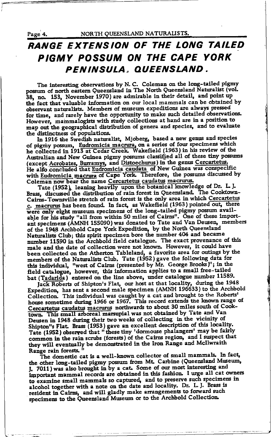Page 4.

# RANGE EXTENSION OF THE LONG TAILED PIGMY POSSUM ON THE CAPE YORK PENINSULA, QUEENSLAND.

The interesting observations by N. C. Coleman on the long-tailed pigmy possum of north eastern Queensland in The North Queensland Naturalist (vol. 38, no. 153, November 1970) are admirable in their detail, and point up the fact that valuable information on our local mammals can be obtained by observant naturalists. Members of museum expeditions are always pressed for time, and rarely have the opportunity to make such detailed observations. However, mammalogists with study collections at hand are in a position to map out the geographical distribution of genera and species, and to evaluate the distinctness of populations.

In 1916 the Swedish naturalist, Mjoberg, based a new genus and species of pigmy possum, Eudromicia macrura, on a series of four specimens which he collected in 1913 at Cedar Creek. Wakefield (1963) in his review of the Australian and New Guinea pigmy possums classified all of these tiny possums (except Acrobates, Burramys, and Distoechurus) in the genus Cercartetus.<br>He also concluded that Eudromicia caudata of New Guinea was conspecific<br>with Eudromicia macrura of Cape York. Therefore, the possums discussed by Coleman now bear the name Cercartetus caudatus macrurus.

Tate (1952), leaning heavily upon the botanical knowledge of Dr. L. J. Brass, discussed the distribution of rain forest in Queensland. The Cooktown-Cairns-Townsville stretch of rain forest is the only area in which Cercartetus c. macrurus has been found. In fact, as Wakefield (1963) pointed out, there were only eight museum specimens of the long-tailed pigmy possum available for his study "all from within 50 miles of Cairns". One of these important specimens (AMNH 155090) was donated to Tate and Van Deusen, members of the 1948 Archbold Cape York Expedition, by the North Queensland Naturalists Club; this spirit specimen bore the number 404 and became number 11590 in the Archbold field catalogue. The exact provenance of this male and the date of collection were not known. However, it could have been collected on the Atherton Tableland, a favorite area for outings by the<br>members of the Naturalists Club. Tate (1952) gave the following data for<br>this individual, "west of Cairns (presented by Mr. George Brooks)"; in t bat (Tadarida) entered on the line above, under catalogue number 11589.

Jack Roberts of Shipton's Flat, our host at that locality, during the 1948<br>Expedition, has sent a second male specimen (AMNH 196633) to the Archbold Collection. This individual was caught by a cat and brought to the Roberts'<br>house sometime during 1966 or 1967. This record extends the known range of Cercartetus caudatus macrurus northwards to about 30 miles south of Cooktown. This small arboreal marsupial was not obtained by Tate and Van Deusen in 1948 during their two weeks of collecting in the vicinity of Shipton''s Flat. Brass (1953) gave an excellent description of this locality.<br>Tate (1952) observed that "these tiny 'dormouse phalangers' may be fairly common in the rain scrubs (forests) of the Cairns region, and I suspec they will eventually be demonstrated in the Iron Range and McIlwraith Range rain forests.

The domestic cat is a well-known collector of small mammals. In fact, the other long-tailed pigmy possum from Mt. Carbine (Queensland Museum, J. 7011) was also brought in by a cat. Some of our most interesting and important mammal records are obtained in this fashion. I urge all cat owners to examine small mammals so captured, and to preserve such specimens in alcohol together with a note on the date and locality. Dr. L. J. Brass is resident in Cairns, and will gladly make arrangements to forward such<br>specimens to the Queensland Museum or to the Archbold Collection.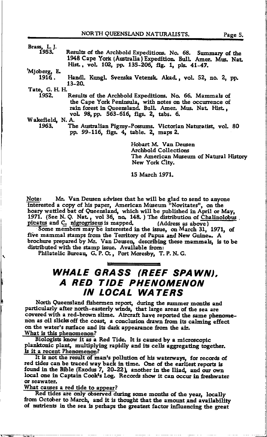| Brass, L. J.    |                                                                                                                     |
|-----------------|---------------------------------------------------------------------------------------------------------------------|
| 1953.           | Results of the Archbold Expeditions. No. 68. Summary of the                                                         |
|                 | 1948 Cape York (Australia) Expedition. Bull. Amer. Mus. Nat                                                         |
|                 | Hist., vol. 102, pp. 135-206, fig. 1, pls. 41-47.                                                                   |
| 'Mjoberg, E.    |                                                                                                                     |
| 1916.           | Handl. Kungl. Svenska Vetensk. Akad., vol. 52, no. 2, pp.                                                           |
|                 | 13-20.                                                                                                              |
| Tate, G. H. H.  |                                                                                                                     |
| 1952.           | Results of the Archbold Expeditions. No. 66. Mammals of<br>the Cape York Peninsula, with notes on the occurrence of |
|                 | rain forest in Queensland. Bull. Amer. Mus. Nat. Hist<br>vol. 98, pp. 563-616, figs. 2, tabs. 6.                    |
| Wakefield, N.A. |                                                                                                                     |
| 1963.           | The Australian Pigmy-Possums. Victorian Naturalist, vol. 80                                                         |

pp. 99-116, figs. 4, table. 2, maps 2.

Hobart M. Van Deusen **Archbold Collections** The American Museum of Natural History New York City.

15 March 1971.

Mr. Van Deusen advises that he will be glad to send to anyone Note: interested a copy of his paper. American Museum "Novitates", on the hoary wattled bat of Queensland, which will be published in April or May, 1971. (See N. Q. Nat., vol 36, no. 148.) The distribution of Chalinolobus picatus and C. nigrogriseus is mapped. (Address as above)

Some members may be interested in the issue, on March 31, 1971, of five mammal stamps from the Territory of Papua and New Guinea. A Involute prepared by Mr. Van Deusen, describing these mammals, is to be distributed with the stamp issue. Available from:<br>Philatelic Bureau, G.P.O., Port Moresby, T.P.N.G.

# WHALE GRASS (REEF SPAWN), A RED TIDE PHENOMENON **IN LOCAL WATERS**

North Queensland fishermen report, during the summer months and particularly after north-easterly winds, that large areas of the sea are covered with a red-brown slime. Aircraft have reported the same phenomenon as oil slicks off the coast, a conclusion drawn from its calming effect on the water's surface and its dark appearance from the air. What is this phenomenon?

Biologists know it as a Red Tide. It is caused by a microscopic planktonic plant, multiplying rapidly and its cells aggregating together. Is it a recent Phenomenon?

It is not the result of man's pollution of his waterways, for records of red tides can be traced way back in time. One of the earliest reports is found in the Bible (Exodus 7, 20-22), another in the Iliad, and our own local one in Captain Cook's Log. Records show it can occur in freshwater. or seawater.

What causes a red tide to appear?

Red tides are only observed during some months of the year. locally from October to March, and it is thought that the amount and availability of nutrients in the sea is perhaps the greatest factor influencing the great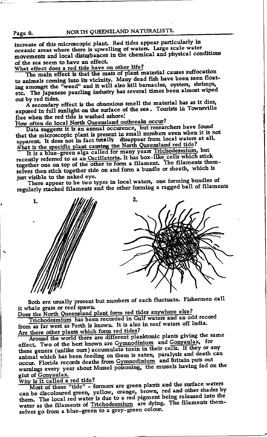increase of this microscopic plant. Red tides appear particularly in oceanic areas where there is upwelling of waters. Large scale water movements and local disturbances in the chemical and physical conditions of the sea seem to have an effect.

What effect does a red tide have on other life?

The main effect is that the mass of plant material causes suffocation to animals coming into its vicinity. Many dead fish have been seen floating amongst the "weed" and it will also kill barnacles, oysters, shrimps, etc. The Japanese pearling industry has several times been almost wiped out by red tides.

A secondary effect is the obnoxious smell the material has as it dies, exposed in full sunlight on the surface of the sea. Tourists in Townsville flee when the red tide is washed ashore!

How often do local North Queensland outbreaks occur?

Data suggests it is an annual occurence, but researchers have found<br>that the microscopic plant is present in small numbers even when it is not apparent. It does not in fact totally disappear from local waters at all.

What is the specific plant causing the North Queensland red tide?<br>It is a blue-green alga called for many years Trichodesmium, but recently referred to as an Oscillatoria. It has box-like cells which stick together one on top of the other to form a filament. The filaments themselves then stick together side on and form a bundle or sheath, which is just visible to the naked eye.

There appear to be two types in local waters, one forming bundles of regularly stacked filaments and the other forming a ragged ball of filaments



Both are usually present but numbers of each fluctuate. Fishermen call it whale grass or reef spawn.

Does the North Queensland plant form red tides anywhere else? Trichodesmium has been recorded in Gulf waters and an odd record

from as far west as Perth is known. It is also in reef waters off India. Are there other plants which form red tides?

Around the world there are different planktonic plants giving the same effect. Two of the best known are Gymnodinium and Gonyaulax, for these genera (unlike ours) accumulate toxin in their cells. If they or any animal which has been feeding on them is eaten, paralysis and death can occur. Florida records deaths from Gymnodinium and Britain puts out warnings every year about Mussel poisoning, the mussels having fed on the glut of Gonyaulax.

Why is it called a red tide?

Most of these "tide" - formers are green plants and the surface waters can be discoloured green, yellow, orange, brown, red and other shades by them. The local red water is due to a red pigment being released into the water as the filaments of Trichodesmium are dying. The filaments themselves go from a blue-green to a grey-green colour.

Page 6.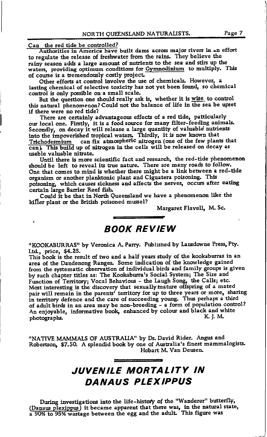#### Can the red tide be controlled?

Authorities in America have built dams across major rivers in an effort to regulate the release of freshwater from the rains. They believe the rainy season adds a large amount of nutrients to the sea and stirs up the waters, providing optimum conditions for Gymnodinium to multiply. This of course is a tremendously costly project.

Other efforts at control involve the use of chemicals. However, a lasting chemical of selective toxicity has not yet been found, so chemical control is only possible on a small scale.

But the question one should really ask is, whether it is wise to control this natural phenomenon? Could not the balance of life in the sea be upset if there were no red tide?

There are certainly advantageous effects of a red tide, patticularly our local one. Firstly, it is a food source for many filter-feeding animals. Secondly, on decay it will release a large quantity of valuable nutrients into the impoverished tropical waters. Thirdly, it is now known that Trichodesmium can fix atmospheric nitrogen (one of the few plants that can). This build up of nitrogen in the cells will be released on decay as usable valuable nitrate.

Until there is more scientific fact and research, the red-tide phenomenon should be left to reveal its true nature. There are many roads to follow. One that comes to mind is whether there might be a link between a red-tide organism or another planktonic plant and Ciguatera poisoning. This poisoning, which causes sickness and affects the nerves, occurs after eating certain large Barrier Reef fish.

Could it be that in North Queensland we have a phenomenon like the killer plant or the British poisoned mussel?

Margaret Flavell, M. Sc.

### **BOOK REVIEW**

"KOOKABURRAS" by Veronica A. Parry. Published by Lansdowne Press, Pty. Ltd., price, \$4.25.

This book is the result of two and a half years study of the kookaburras in an area of the Dandenong Ranges. Some indication of the knowledge gained from the systematic observation of individual birds and family groups is given by such chapter titles as: The Kookaburra's Social System; The Size and Function of Territory; Vocal Behavious - the Laugh Song, the Calls; etc.<br>Most interesting is the discovery that sexually mature offspring of a mated pair will remain in the parents' territory for up to three years or more, sharing in territory defence and the care of succeeding young. Thus perhaps a third of adult birds in an area may be non-breeding - a form of population control? An enjoyable, informative book, enhanced by colour and black and white K. I. M. photographs.

"NATIVE MAMMALS OF AUSTRALIA" by Dr. David Rider. Angus and Robertson, \$7.50. A splendid book by one of Australia's finest mammalogists. Hobart M. Van Deusen.

# **JUVENILE MORTALITY IN DANAUS PLEXIPPUS**

During investigations into the life-history of the "Wanderer" butterfly, (Danaus plexippus) it became apparent that there was, in the natural state,<br>a 90% to 95% wastage between the egg and the adult. This figure was